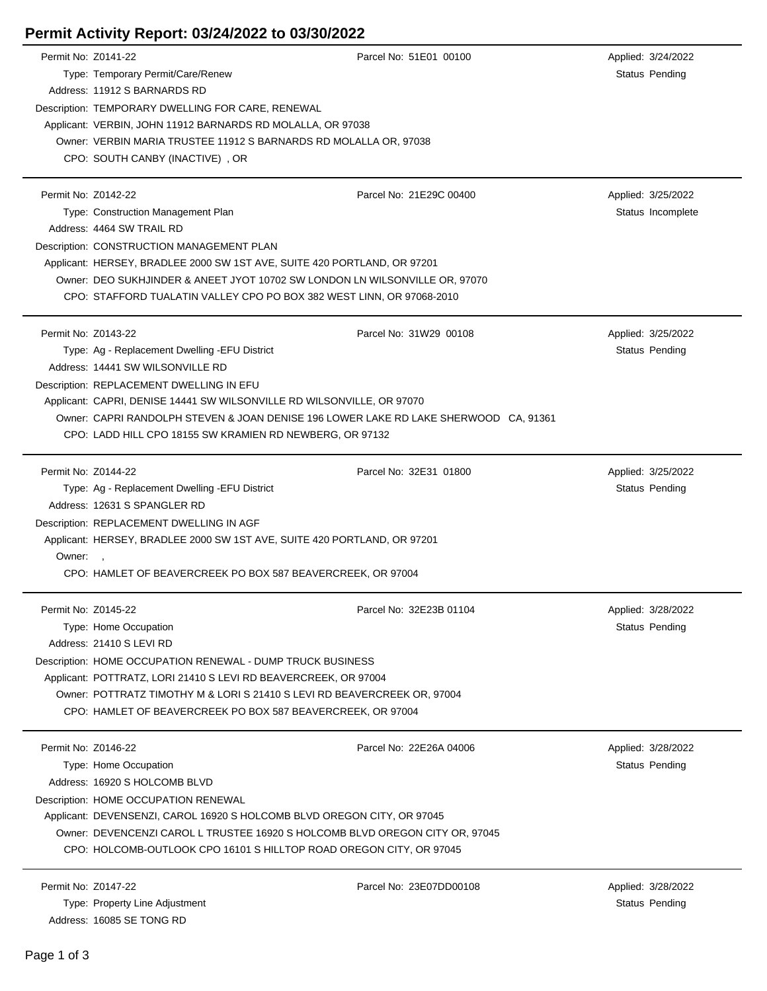## **Permit Activity Report: 03/24/2022 to 03/30/2022**

| Permit No: Z0141-22 |                                                                                      | Parcel No: 51E01 00100  | Applied: 3/24/2022 |
|---------------------|--------------------------------------------------------------------------------------|-------------------------|--------------------|
|                     | Type: Temporary Permit/Care/Renew                                                    |                         | Status Pending     |
|                     | Address: 11912 S BARNARDS RD                                                         |                         |                    |
|                     | Description: TEMPORARY DWELLING FOR CARE, RENEWAL                                    |                         |                    |
|                     | Applicant: VERBIN, JOHN 11912 BARNARDS RD MOLALLA, OR 97038                          |                         |                    |
|                     | Owner: VERBIN MARIA TRUSTEE 11912 S BARNARDS RD MOLALLA OR, 97038                    |                         |                    |
|                     | CPO: SOUTH CANBY (INACTIVE), OR                                                      |                         |                    |
|                     |                                                                                      |                         |                    |
| Permit No: Z0142-22 |                                                                                      | Parcel No: 21E29C 00400 | Applied: 3/25/2022 |
|                     | Type: Construction Management Plan                                                   |                         | Status Incomplete  |
|                     | Address: 4464 SW TRAIL RD                                                            |                         |                    |
|                     | Description: CONSTRUCTION MANAGEMENT PLAN                                            |                         |                    |
|                     | Applicant: HERSEY, BRADLEE 2000 SW 1ST AVE, SUITE 420 PORTLAND, OR 97201             |                         |                    |
|                     | Owner: DEO SUKHJINDER & ANEET JYOT 10702 SW LONDON LN WILSONVILLE OR, 97070          |                         |                    |
|                     | CPO: STAFFORD TUALATIN VALLEY CPO PO BOX 382 WEST LINN, OR 97068-2010                |                         |                    |
|                     |                                                                                      |                         |                    |
| Permit No: Z0143-22 |                                                                                      | Parcel No: 31W29 00108  | Applied: 3/25/2022 |
|                     | Type: Ag - Replacement Dwelling - EFU District                                       |                         | Status Pending     |
|                     | Address: 14441 SW WILSONVILLE RD                                                     |                         |                    |
|                     | Description: REPLACEMENT DWELLING IN EFU                                             |                         |                    |
|                     | Applicant: CAPRI, DENISE 14441 SW WILSONVILLE RD WILSONVILLE, OR 97070               |                         |                    |
|                     | Owner: CAPRI RANDOLPH STEVEN & JOAN DENISE 196 LOWER LAKE RD LAKE SHERWOOD CA, 91361 |                         |                    |
|                     | CPO: LADD HILL CPO 18155 SW KRAMIEN RD NEWBERG, OR 97132                             |                         |                    |
|                     |                                                                                      |                         |                    |
| Permit No: Z0144-22 |                                                                                      | Parcel No: 32E31 01800  | Applied: 3/25/2022 |
|                     | Type: Ag - Replacement Dwelling -EFU District                                        |                         | Status Pending     |
|                     | Address: 12631 S SPANGLER RD                                                         |                         |                    |
|                     | Description: REPLACEMENT DWELLING IN AGF                                             |                         |                    |
|                     | Applicant: HERSEY, BRADLEE 2000 SW 1ST AVE, SUITE 420 PORTLAND, OR 97201             |                         |                    |
| Owner:,             |                                                                                      |                         |                    |
|                     | CPO: HAMLET OF BEAVERCREEK PO BOX 587 BEAVERCREEK, OR 97004                          |                         |                    |
|                     |                                                                                      |                         |                    |
| Permit No: Z0145-22 |                                                                                      | Parcel No: 32E23B 01104 | Applied: 3/28/2022 |
|                     | Type: Home Occupation                                                                |                         | Status Pending     |
|                     | Address: 21410 S LEVI RD                                                             |                         |                    |
|                     | Description: HOME OCCUPATION RENEWAL - DUMP TRUCK BUSINESS                           |                         |                    |
|                     | Applicant: POTTRATZ, LORI 21410 S LEVI RD BEAVERCREEK, OR 97004                      |                         |                    |
|                     | Owner: POTTRATZ TIMOTHY M & LORI S 21410 S LEVI RD BEAVERCREEK OR, 97004             |                         |                    |
|                     | CPO: HAMLET OF BEAVERCREEK PO BOX 587 BEAVERCREEK, OR 97004                          |                         |                    |
|                     |                                                                                      |                         |                    |
| Permit No: Z0146-22 |                                                                                      | Parcel No: 22E26A 04006 | Applied: 3/28/2022 |
|                     | Type: Home Occupation                                                                |                         | Status Pending     |
|                     | Address: 16920 S HOLCOMB BLVD                                                        |                         |                    |
|                     | Description: HOME OCCUPATION RENEWAL                                                 |                         |                    |
|                     | Applicant: DEVENSENZI, CAROL 16920 S HOLCOMB BLVD OREGON CITY, OR 97045              |                         |                    |
|                     | Owner: DEVENCENZI CAROL L TRUSTEE 16920 S HOLCOMB BLVD OREGON CITY OR, 97045         |                         |                    |
|                     | CPO: HOLCOMB-OUTLOOK CPO 16101 S HILLTOP ROAD OREGON CITY, OR 97045                  |                         |                    |
|                     |                                                                                      |                         |                    |
| Permit No: Z0147-22 |                                                                                      | Parcel No: 23E07DD00108 | Applied: 3/28/2022 |
|                     | Type: Property Line Adjustment                                                       |                         | Status Pending     |
|                     | Address: 16085 SE TONG RD                                                            |                         |                    |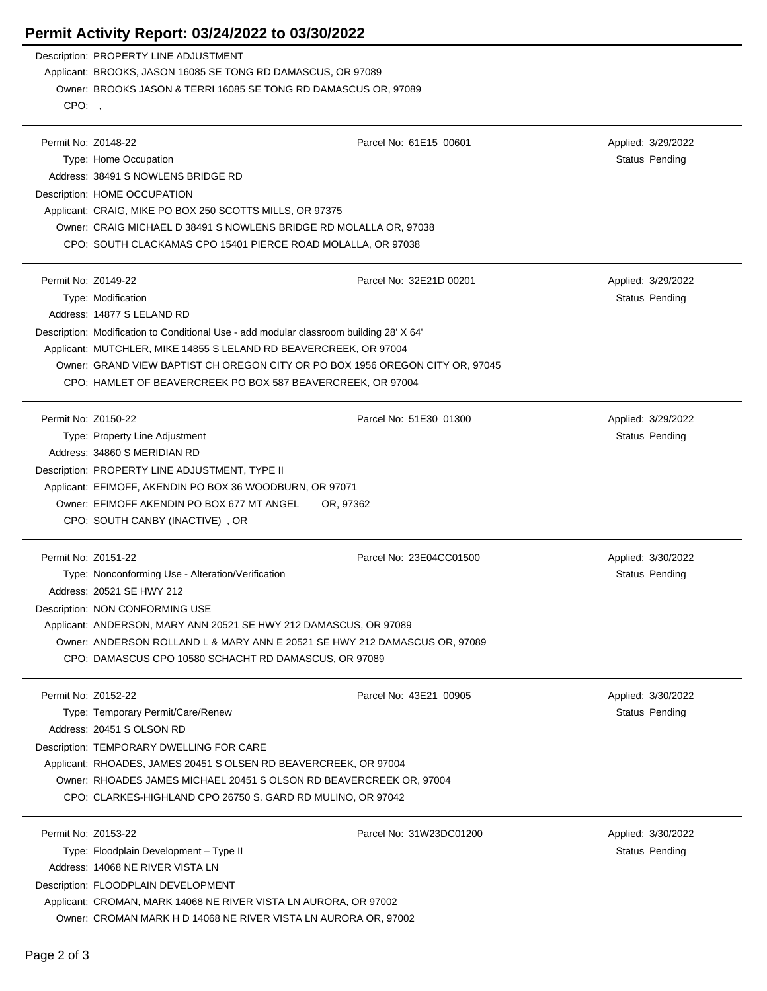## **Permit Activity Report: 03/24/2022 to 03/30/2022**

Description: PROPERTY LINE ADJUSTMENT Applicant: BROOKS, JASON 16085 SE TONG RD DAMASCUS, OR 97089 Owner: BROOKS JASON & TERRI 16085 SE TONG RD DAMASCUS OR, 97089 CPO: ,

| Permit No: Z0148-22                                                                     | Parcel No: 61E15 00601  | Applied: 3/29/2022 |
|-----------------------------------------------------------------------------------------|-------------------------|--------------------|
| Type: Home Occupation                                                                   |                         | Status Pending     |
| Address: 38491 S NOWLENS BRIDGE RD                                                      |                         |                    |
| Description: HOME OCCUPATION                                                            |                         |                    |
| Applicant: CRAIG, MIKE PO BOX 250 SCOTTS MILLS, OR 97375                                |                         |                    |
| Owner: CRAIG MICHAEL D 38491 S NOWLENS BRIDGE RD MOLALLA OR, 97038                      |                         |                    |
| CPO: SOUTH CLACKAMAS CPO 15401 PIERCE ROAD MOLALLA, OR 97038                            |                         |                    |
|                                                                                         |                         |                    |
| Permit No: Z0149-22                                                                     | Parcel No: 32E21D 00201 | Applied: 3/29/2022 |
| Type: Modification                                                                      |                         | Status Pending     |
| Address: 14877 S LELAND RD                                                              |                         |                    |
| Description: Modification to Conditional Use - add modular classroom building 28' X 64' |                         |                    |
| Applicant: MUTCHLER, MIKE 14855 S LELAND RD BEAVERCREEK, OR 97004                       |                         |                    |
| Owner: GRAND VIEW BAPTIST CH OREGON CITY OR PO BOX 1956 OREGON CITY OR, 97045           |                         |                    |
| CPO: HAMLET OF BEAVERCREEK PO BOX 587 BEAVERCREEK, OR 97004                             |                         |                    |
|                                                                                         |                         |                    |
| Permit No: Z0150-22                                                                     | Parcel No: 51E30 01300  | Applied: 3/29/2022 |
| Type: Property Line Adjustment                                                          |                         | Status Pending     |
| Address: 34860 S MERIDIAN RD                                                            |                         |                    |
| Description: PROPERTY LINE ADJUSTMENT, TYPE II                                          |                         |                    |
| Applicant: EFIMOFF, AKENDIN PO BOX 36 WOODBURN, OR 97071                                |                         |                    |
| Owner: EFIMOFF AKENDIN PO BOX 677 MT ANGEL                                              | OR, 97362               |                    |
|                                                                                         |                         |                    |
| CPO: SOUTH CANBY (INACTIVE), OR                                                         |                         |                    |
| Permit No: Z0151-22                                                                     | Parcel No: 23E04CC01500 | Applied: 3/30/2022 |
| Type: Nonconforming Use - Alteration/Verification                                       |                         | Status Pending     |
| Address: 20521 SE HWY 212                                                               |                         |                    |
| Description: NON CONFORMING USE                                                         |                         |                    |
| Applicant: ANDERSON, MARY ANN 20521 SE HWY 212 DAMASCUS, OR 97089                       |                         |                    |
| Owner: ANDERSON ROLLAND L & MARY ANN E 20521 SE HWY 212 DAMASCUS OR, 97089              |                         |                    |
| CPO: DAMASCUS CPO 10580 SCHACHT RD DAMASCUS, OR 97089                                   |                         |                    |
|                                                                                         |                         |                    |
| Permit No: Z0152-22                                                                     | Parcel No: 43E21 00905  | Applied: 3/30/2022 |
| Type: Temporary Permit/Care/Renew                                                       |                         | Status Pending     |
| Address: 20451 S OLSON RD                                                               |                         |                    |
| Description: TEMPORARY DWELLING FOR CARE                                                |                         |                    |
| Applicant: RHOADES, JAMES 20451 S OLSEN RD BEAVERCREEK, OR 97004                        |                         |                    |
| Owner: RHOADES JAMES MICHAEL 20451 S OLSON RD BEAVERCREEK OR, 97004                     |                         |                    |
| CPO: CLARKES-HIGHLAND CPO 26750 S. GARD RD MULINO, OR 97042                             |                         |                    |
|                                                                                         |                         |                    |
| Permit No: Z0153-22                                                                     | Parcel No: 31W23DC01200 | Applied: 3/30/2022 |
| Type: Floodplain Development - Type II                                                  |                         | Status Pending     |
| Address: 14068 NE RIVER VISTA LN                                                        |                         |                    |
| Description: FLOODPLAIN DEVELOPMENT                                                     |                         |                    |
| Applicant: CROMAN, MARK 14068 NE RIVER VISTA LN AURORA, OR 97002                        |                         |                    |
| Owner: CROMAN MARK H D 14068 NE RIVER VISTA LN AURORA OR, 97002                         |                         |                    |
|                                                                                         |                         |                    |